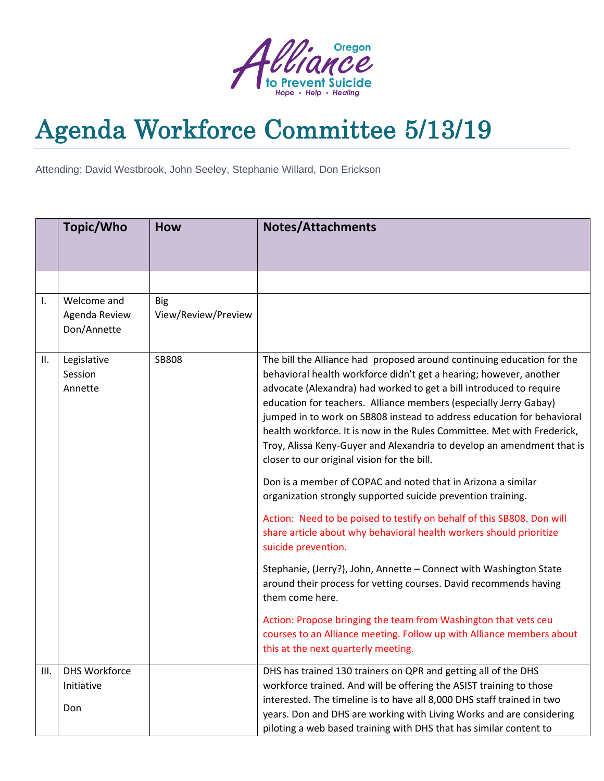

## Agenda Workforce Committee 5/13/19

Attending: David Westbrook, John Seeley, Stephanie Willard, Don Erickson

|      | Topic/Who                                   | <b>How</b>                        | <b>Notes/Attachments</b>                                                                                                                                                                                                                                                                                                                                                                                                                                                                                                                                                                                                                                                                                                                                                                                                                                                                                                                                                                                                                                                                                                                                                                                                        |
|------|---------------------------------------------|-----------------------------------|---------------------------------------------------------------------------------------------------------------------------------------------------------------------------------------------------------------------------------------------------------------------------------------------------------------------------------------------------------------------------------------------------------------------------------------------------------------------------------------------------------------------------------------------------------------------------------------------------------------------------------------------------------------------------------------------------------------------------------------------------------------------------------------------------------------------------------------------------------------------------------------------------------------------------------------------------------------------------------------------------------------------------------------------------------------------------------------------------------------------------------------------------------------------------------------------------------------------------------|
|      |                                             |                                   |                                                                                                                                                                                                                                                                                                                                                                                                                                                                                                                                                                                                                                                                                                                                                                                                                                                                                                                                                                                                                                                                                                                                                                                                                                 |
|      |                                             |                                   |                                                                                                                                                                                                                                                                                                                                                                                                                                                                                                                                                                                                                                                                                                                                                                                                                                                                                                                                                                                                                                                                                                                                                                                                                                 |
| ı.   | Welcome and<br>Agenda Review<br>Don/Annette | <b>Big</b><br>View/Review/Preview |                                                                                                                                                                                                                                                                                                                                                                                                                                                                                                                                                                                                                                                                                                                                                                                                                                                                                                                                                                                                                                                                                                                                                                                                                                 |
| Ш.   | Legislative<br>Session<br>Annette           | SB808                             | The bill the Alliance had proposed around continuing education for the<br>behavioral health workforce didn't get a hearing; however, another<br>advocate (Alexandra) had worked to get a bill introduced to require<br>education for teachers. Alliance members (especially Jerry Gabay)<br>jumped in to work on SB808 instead to address education for behavioral<br>health workforce. It is now in the Rules Committee. Met with Frederick,<br>Troy, Alissa Keny-Guyer and Alexandria to develop an amendment that is<br>closer to our original vision for the bill.<br>Don is a member of COPAC and noted that in Arizona a similar<br>organization strongly supported suicide prevention training.<br>Action: Need to be poised to testify on behalf of this SB808. Don will<br>share article about why behavioral health workers should prioritize<br>suicide prevention.<br>Stephanie, (Jerry?), John, Annette - Connect with Washington State<br>around their process for vetting courses. David recommends having<br>them come here.<br>Action: Propose bringing the team from Washington that vets ceu<br>courses to an Alliance meeting. Follow up with Alliance members about<br>this at the next quarterly meeting. |
| III. | <b>DHS Workforce</b>                        |                                   | DHS has trained 130 trainers on QPR and getting all of the DHS                                                                                                                                                                                                                                                                                                                                                                                                                                                                                                                                                                                                                                                                                                                                                                                                                                                                                                                                                                                                                                                                                                                                                                  |
|      | Initiative                                  |                                   | workforce trained. And will be offering the ASIST training to those                                                                                                                                                                                                                                                                                                                                                                                                                                                                                                                                                                                                                                                                                                                                                                                                                                                                                                                                                                                                                                                                                                                                                             |
|      | Don                                         |                                   | interested. The timeline is to have all 8,000 DHS staff trained in two<br>years. Don and DHS are working with Living Works and are considering<br>piloting a web based training with DHS that has similar content to                                                                                                                                                                                                                                                                                                                                                                                                                                                                                                                                                                                                                                                                                                                                                                                                                                                                                                                                                                                                            |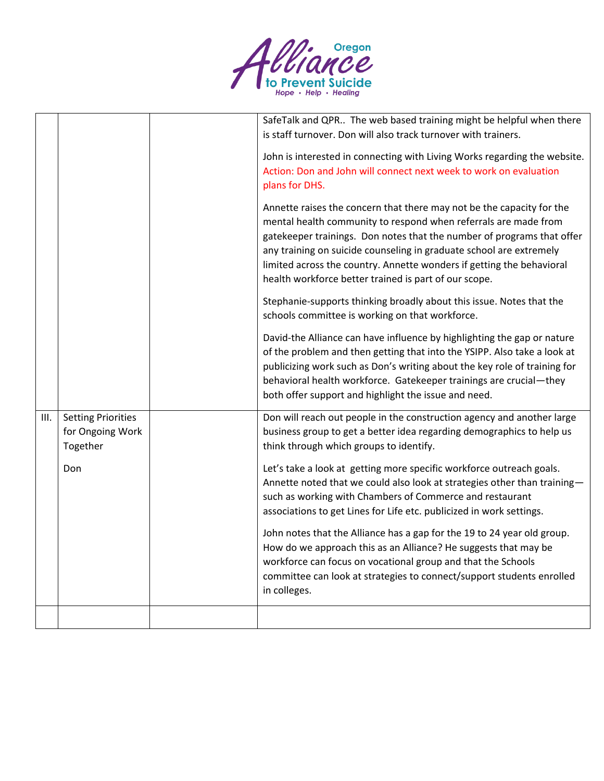

|      |                                                           | SafeTalk and QPR The web based training might be helpful when there<br>is staff turnover. Don will also track turnover with trainers.                                                                                                                                                                                                                                                                                       |
|------|-----------------------------------------------------------|-----------------------------------------------------------------------------------------------------------------------------------------------------------------------------------------------------------------------------------------------------------------------------------------------------------------------------------------------------------------------------------------------------------------------------|
|      |                                                           | John is interested in connecting with Living Works regarding the website.<br>Action: Don and John will connect next week to work on evaluation<br>plans for DHS.                                                                                                                                                                                                                                                            |
|      |                                                           | Annette raises the concern that there may not be the capacity for the<br>mental health community to respond when referrals are made from<br>gatekeeper trainings. Don notes that the number of programs that offer<br>any training on suicide counseling in graduate school are extremely<br>limited across the country. Annette wonders if getting the behavioral<br>health workforce better trained is part of our scope. |
|      |                                                           | Stephanie-supports thinking broadly about this issue. Notes that the<br>schools committee is working on that workforce.                                                                                                                                                                                                                                                                                                     |
|      |                                                           | David-the Alliance can have influence by highlighting the gap or nature<br>of the problem and then getting that into the YSIPP. Also take a look at<br>publicizing work such as Don's writing about the key role of training for<br>behavioral health workforce. Gatekeeper trainings are crucial-they<br>both offer support and highlight the issue and need.                                                              |
| III. | <b>Setting Priorities</b><br>for Ongoing Work<br>Together | Don will reach out people in the construction agency and another large<br>business group to get a better idea regarding demographics to help us<br>think through which groups to identify.                                                                                                                                                                                                                                  |
|      | Don                                                       | Let's take a look at getting more specific workforce outreach goals.<br>Annette noted that we could also look at strategies other than training-<br>such as working with Chambers of Commerce and restaurant<br>associations to get Lines for Life etc. publicized in work settings.                                                                                                                                        |
|      |                                                           | John notes that the Alliance has a gap for the 19 to 24 year old group.<br>How do we approach this as an Alliance? He suggests that may be<br>workforce can focus on vocational group and that the Schools<br>committee can look at strategies to connect/support students enrolled<br>in colleges.                                                                                                                         |
|      |                                                           |                                                                                                                                                                                                                                                                                                                                                                                                                             |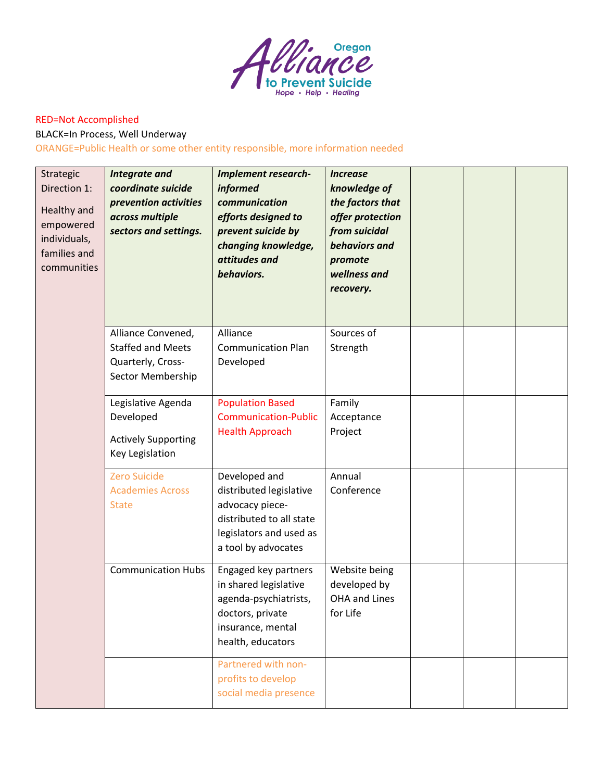

## RED=Not Accomplished

BLACK=In Process, Well Underway

## ORANGE=Public Health or some other entity responsible, more information needed

| Strategic<br>Direction 1:<br>Healthy and<br>empowered<br>individuals,<br>families and<br>communities | <b>Integrate and</b><br>coordinate suicide<br>prevention activities<br>across multiple<br>sectors and settings. | <b>Implement research-</b><br><i>informed</i><br>communication<br>efforts designed to<br>prevent suicide by<br>changing knowledge,<br>attitudes and<br>behaviors. | <b>Increase</b><br>knowledge of<br>the factors that<br>offer protection<br>from suicidal<br>behaviors and<br>promote<br>wellness and<br>recovery. |  |  |
|------------------------------------------------------------------------------------------------------|-----------------------------------------------------------------------------------------------------------------|-------------------------------------------------------------------------------------------------------------------------------------------------------------------|---------------------------------------------------------------------------------------------------------------------------------------------------|--|--|
|                                                                                                      | Alliance Convened,<br><b>Staffed and Meets</b><br>Quarterly, Cross-<br>Sector Membership                        | Alliance<br><b>Communication Plan</b><br>Developed                                                                                                                | Sources of<br>Strength                                                                                                                            |  |  |
|                                                                                                      | Legislative Agenda<br>Developed<br><b>Actively Supporting</b><br>Key Legislation                                | <b>Population Based</b><br><b>Communication-Public</b><br><b>Health Approach</b>                                                                                  | Family<br>Acceptance<br>Project                                                                                                                   |  |  |
|                                                                                                      | <b>Zero Suicide</b><br><b>Academies Across</b><br><b>State</b>                                                  | Developed and<br>distributed legislative<br>advocacy piece-<br>distributed to all state<br>legislators and used as<br>a tool by advocates                         | Annual<br>Conference                                                                                                                              |  |  |
|                                                                                                      | <b>Communication Hubs</b>                                                                                       | Engaged key partners<br>in shared legislative<br>agenda-psychiatrists,<br>doctors, private<br>insurance, mental<br>health, educators                              | Website being<br>developed by<br>OHA and Lines<br>for Life                                                                                        |  |  |
|                                                                                                      |                                                                                                                 | Partnered with non-<br>profits to develop<br>social media presence                                                                                                |                                                                                                                                                   |  |  |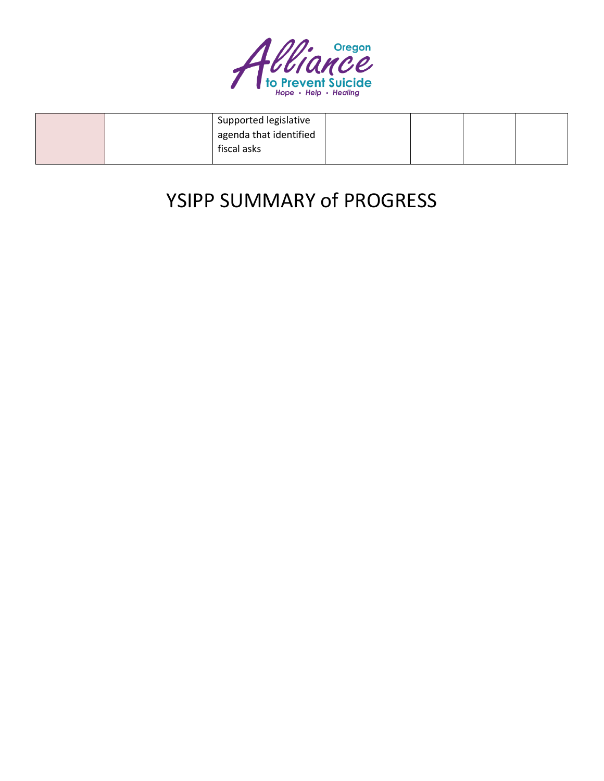

|  | Supported legislative  |  |  |
|--|------------------------|--|--|
|  | agenda that identified |  |  |
|  | fiscal asks            |  |  |
|  |                        |  |  |

## YSIPP SUMMARY of PROGRESS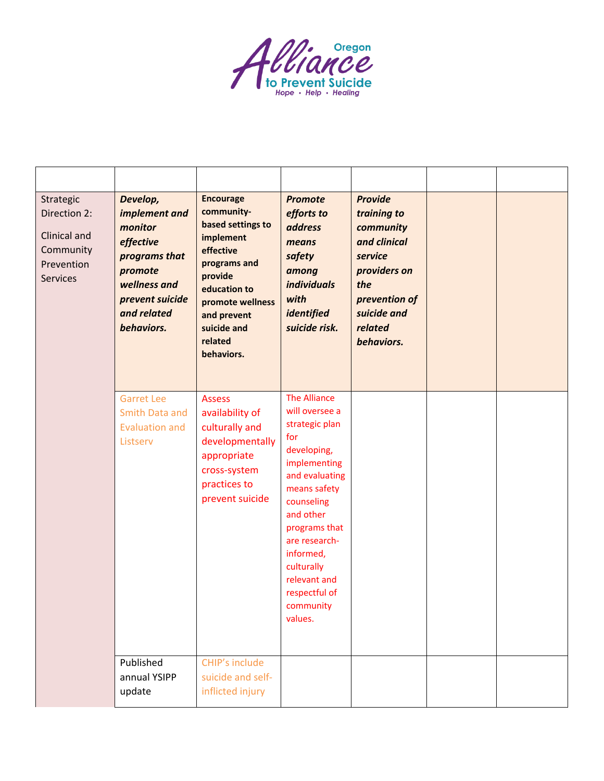

| Strategic<br>Direction 2:<br>Clinical and<br>Community<br>Prevention<br><b>Services</b> | Develop,<br>implement and<br>monitor<br>effective<br>programs that<br>promote<br>wellness and<br>prevent suicide<br>and related<br>behaviors. | <b>Encourage</b><br>community-<br>based settings to<br>implement<br>effective<br>programs and<br>provide<br>education to<br>promote wellness<br>and prevent<br>suicide and<br>related<br>behaviors. | <b>Promote</b><br>efforts to<br>address<br>means<br>safety<br>among<br><i>individuals</i><br>with<br>identified<br>suicide risk.                                                                                                                                                 | <b>Provide</b><br>training to<br>community<br>and clinical<br>service<br>providers on<br>the<br>prevention of<br>suicide and<br>related<br>behaviors. |  |
|-----------------------------------------------------------------------------------------|-----------------------------------------------------------------------------------------------------------------------------------------------|-----------------------------------------------------------------------------------------------------------------------------------------------------------------------------------------------------|----------------------------------------------------------------------------------------------------------------------------------------------------------------------------------------------------------------------------------------------------------------------------------|-------------------------------------------------------------------------------------------------------------------------------------------------------|--|
|                                                                                         | <b>Garret Lee</b><br>Smith Data and<br><b>Evaluation and</b><br>Listserv                                                                      | <b>Assess</b><br>availability of<br>culturally and<br>developmentally<br>appropriate<br>cross-system<br>practices to<br>prevent suicide                                                             | <b>The Alliance</b><br>will oversee a<br>strategic plan<br>for<br>developing,<br>implementing<br>and evaluating<br>means safety<br>counseling<br>and other<br>programs that<br>are research-<br>informed,<br>culturally<br>relevant and<br>respectful of<br>community<br>values. |                                                                                                                                                       |  |
|                                                                                         | Published<br>annual YSIPP<br>update                                                                                                           | CHIP's include<br>suicide and self-<br>inflicted injury                                                                                                                                             |                                                                                                                                                                                                                                                                                  |                                                                                                                                                       |  |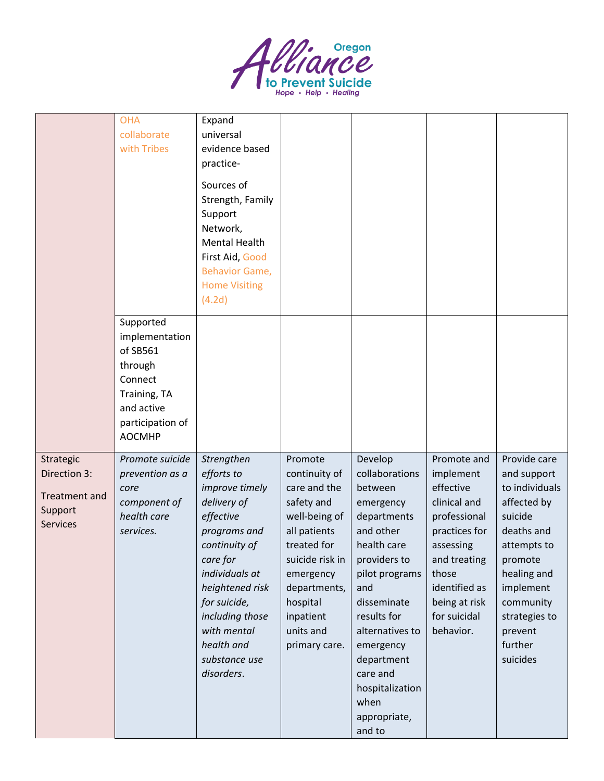

|                                                                                 | <b>OHA</b><br>collaborate<br>with Tribes                                                                                         | Expand<br>universal<br>evidence based<br>practice-<br>Sources of<br>Strength, Family<br>Support<br>Network,<br><b>Mental Health</b><br>First Aid, Good<br><b>Behavior Game,</b><br><b>Home Visiting</b><br>(4.2d)                                       |                                                                                                                                                                                                               |                                                                                                                                                                                                                                                                                    |                                                                                                                                                                                             |                                                                                                                                                                                                             |
|---------------------------------------------------------------------------------|----------------------------------------------------------------------------------------------------------------------------------|---------------------------------------------------------------------------------------------------------------------------------------------------------------------------------------------------------------------------------------------------------|---------------------------------------------------------------------------------------------------------------------------------------------------------------------------------------------------------------|------------------------------------------------------------------------------------------------------------------------------------------------------------------------------------------------------------------------------------------------------------------------------------|---------------------------------------------------------------------------------------------------------------------------------------------------------------------------------------------|-------------------------------------------------------------------------------------------------------------------------------------------------------------------------------------------------------------|
|                                                                                 | Supported<br>implementation<br>of SB561<br>through<br>Connect<br>Training, TA<br>and active<br>participation of<br><b>AOCMHP</b> |                                                                                                                                                                                                                                                         |                                                                                                                                                                                                               |                                                                                                                                                                                                                                                                                    |                                                                                                                                                                                             |                                                                                                                                                                                                             |
| Strategic<br>Direction 3:<br><b>Treatment and</b><br>Support<br><b>Services</b> | Promote suicide<br>prevention as a<br>core<br>component of<br>health care<br>services.                                           | Strengthen<br>efforts to<br>improve timely<br>delivery of<br>effective<br>programs and<br>continuity of<br>care for<br>individuals at<br>heightened risk<br>for suicide,<br>including those<br>with mental<br>health and<br>substance use<br>disorders. | Promote<br>continuity of<br>care and the<br>safety and<br>well-being of<br>all patients<br>treated for<br>suicide risk in<br>emergency<br>departments,<br>hospital<br>inpatient<br>units and<br>primary care. | Develop<br>collaborations<br>between<br>emergency<br>departments<br>and other<br>health care<br>providers to<br>pilot programs<br>and<br>disseminate<br>results for<br>alternatives to<br>emergency<br>department<br>care and<br>hospitalization<br>when<br>appropriate,<br>and to | Promote and<br>implement<br>effective<br>clinical and<br>professional<br>practices for<br>assessing<br>and treating<br>those<br>identified as<br>being at risk<br>for suicidal<br>behavior. | Provide care<br>and support<br>to individuals<br>affected by<br>suicide<br>deaths and<br>attempts to<br>promote<br>healing and<br>implement<br>community<br>strategies to<br>prevent<br>further<br>suicides |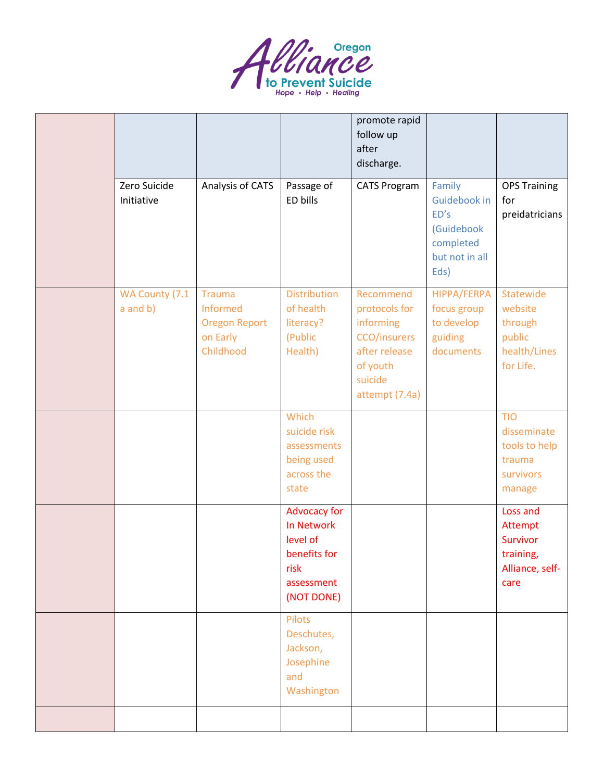

|                                 |                                                                     |                                                                                            | promote rapid<br>follow up<br>after<br>discharge.                                                                 |                                                                                     |                                                                                |
|---------------------------------|---------------------------------------------------------------------|--------------------------------------------------------------------------------------------|-------------------------------------------------------------------------------------------------------------------|-------------------------------------------------------------------------------------|--------------------------------------------------------------------------------|
| Zero Suicide<br>Initiative      | Analysis of CATS                                                    | Passage of<br>ED bills                                                                     | <b>CATS Program</b>                                                                                               | Family<br>Guidebook in<br>ED's<br>(Guidebook<br>completed<br>but not in all<br>Eds) | <b>OPS Training</b><br>for<br>preidatricians                                   |
| WA County (7.1<br>$a$ and $b$ ) | Trauma<br>Informed<br><b>Oregon Report</b><br>on Early<br>Childhood | <b>Distribution</b><br>of health<br>literacy?<br>(Public<br>Health)                        | Recommend<br>protocols for<br>informing<br>CCO/insurers<br>after release<br>of youth<br>suicide<br>attempt (7.4a) | HIPPA/FERPA<br>focus group<br>to develop<br>guiding<br>documents                    | Statewide<br>website<br>through<br>public<br>health/Lines<br>for Life.         |
|                                 |                                                                     | Which<br>suicide risk<br>assessments<br>being used<br>across the<br>state                  |                                                                                                                   |                                                                                     | <b>TIO</b><br>disseminate<br>tools to help<br>trauma<br>survivors<br>manage    |
|                                 |                                                                     | Advocacy for<br>In Network<br>level of<br>benefits for<br>risk<br>assessment<br>(NOT DONE) |                                                                                                                   |                                                                                     | Loss and<br>Attempt<br><b>Survivor</b><br>training,<br>Alliance, self-<br>care |
|                                 |                                                                     | Pilots<br>Deschutes,<br>Jackson,<br>Josephine<br>and<br>Washington                         |                                                                                                                   |                                                                                     |                                                                                |